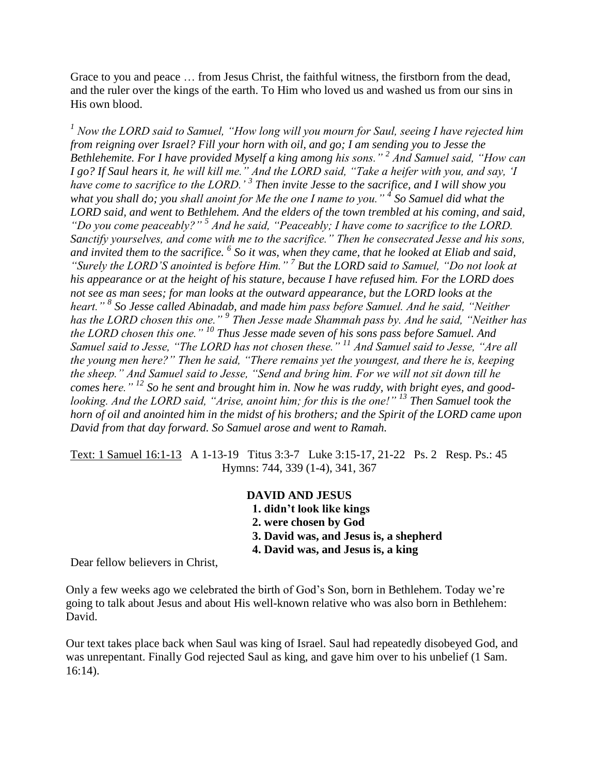Grace to you and peace … from Jesus Christ, the faithful witness, the firstborn from the dead, and the ruler over the kings of the earth. To Him who loved us and washed us from our sins in His own blood.

*<sup>1</sup> Now the LORD said to Samuel, "How long will you mourn for Saul, seeing I have rejected him from reigning over Israel? Fill your horn with oil, and go; I am sending you to Jesse the Bethlehemite. For I have provided Myself a king among his sons." <sup>2</sup> And Samuel said, "How can I go? If Saul hears it, he will kill me." And the LORD said, "Take a heifer with you, and say, 'I*  have come to sacrifice to the LORD.<sup>'</sup> <sup>3</sup> Then invite Jesse to the sacrifice, and I will show you *what you shall do; you shall anoint for Me the one I name to you." <sup>4</sup> So Samuel did what the LORD said, and went to Bethlehem. And the elders of the town trembled at his coming, and said, "Do you come peaceably?" <sup>5</sup> And he said, "Peaceably; I have come to sacrifice to the LORD. Sanctify yourselves, and come with me to the sacrifice." Then he consecrated Jesse and his sons, and invited them to the sacrifice. <sup>6</sup> So it was, when they came, that he looked at Eliab and said, "Surely the LORD'S anointed is before Him." <sup>7</sup> But the LORD said to Samuel, "Do not look at his appearance or at the height of his stature, because I have refused him. For the LORD does not see as man sees; for man looks at the outward appearance, but the LORD looks at the heart." <sup>8</sup> So Jesse called Abinadab, and made him pass before Samuel. And he said, "Neither has the LORD chosen this one." <sup>9</sup> Then Jesse made Shammah pass by. And he said, "Neither has the LORD chosen this one." <sup>10</sup> Thus Jesse made seven of his sons pass before Samuel. And Samuel said to Jesse, "The LORD has not chosen these." <sup>11</sup> And Samuel said to Jesse, "Are all the young men here?" Then he said, "There remains yet the youngest, and there he is, keeping the sheep." And Samuel said to Jesse, "Send and bring him. For we will not sit down till he comes here." <sup>12</sup> So he sent and brought him in. Now he was ruddy, with bright eyes, and goodlooking. And the LORD said, "Arise, anoint him; for this is the one!" <sup>13</sup> Then Samuel took the horn of oil and anointed him in the midst of his brothers; and the Spirit of the LORD came upon David from that day forward. So Samuel arose and went to Ramah.*

Text: 1 Samuel 16:1-13 A 1-13-19 Titus 3:3-7 Luke 3:15-17, 21-22 Ps. 2 Resp. Ps.: 45 Hymns: 744, 339 (1-4), 341, 367

## **DAVID AND JESUS**

- **1. didn't look like kings**
- **2. were chosen by God**
- **3. David was, and Jesus is, a shepherd**
- **4. David was, and Jesus is, a king**

Dear fellow believers in Christ,

Only a few weeks ago we celebrated the birth of God's Son, born in Bethlehem. Today we're going to talk about Jesus and about His well-known relative who was also born in Bethlehem: David.

Our text takes place back when Saul was king of Israel. Saul had repeatedly disobeyed God, and was unrepentant. Finally God rejected Saul as king, and gave him over to his unbelief (1 Sam. 16:14).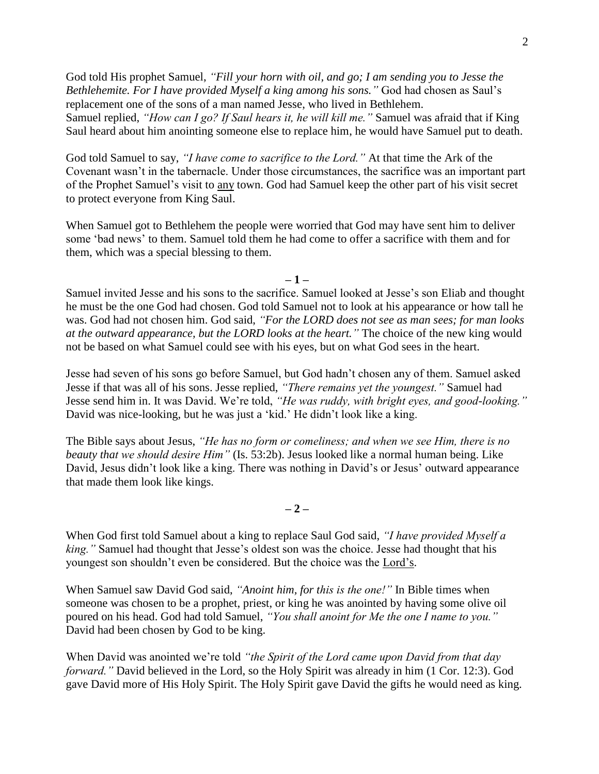God told His prophet Samuel, *"Fill your horn with oil, and go; I am sending you to Jesse the Bethlehemite. For I have provided Myself a king among his sons."* God had chosen as Saul's replacement one of the sons of a man named Jesse, who lived in Bethlehem. Samuel replied, *"How can I go? If Saul hears it, he will kill me."* Samuel was afraid that if King Saul heard about him anointing someone else to replace him, he would have Samuel put to death.

God told Samuel to say, *"I have come to sacrifice to the Lord."* At that time the Ark of the Covenant wasn't in the tabernacle. Under those circumstances, the sacrifice was an important part of the Prophet Samuel's visit to any town. God had Samuel keep the other part of his visit secret to protect everyone from King Saul.

When Samuel got to Bethlehem the people were worried that God may have sent him to deliver some 'bad news' to them. Samuel told them he had come to offer a sacrifice with them and for them, which was a special blessing to them.

**– 1 –**

Samuel invited Jesse and his sons to the sacrifice. Samuel looked at Jesse's son Eliab and thought he must be the one God had chosen. God told Samuel not to look at his appearance or how tall he was. God had not chosen him. God said, *"For the LORD does not see as man sees; for man looks at the outward appearance, but the LORD looks at the heart."* The choice of the new king would not be based on what Samuel could see with his eyes, but on what God sees in the heart.

Jesse had seven of his sons go before Samuel, but God hadn't chosen any of them. Samuel asked Jesse if that was all of his sons. Jesse replied, *"There remains yet the youngest."* Samuel had Jesse send him in. It was David. We're told, *"He was ruddy, with bright eyes, and good-looking."* David was nice-looking, but he was just a 'kid.' He didn't look like a king.

The Bible says about Jesus, *"He has no form or comeliness; and when we see Him, there is no beauty that we should desire Him"* (Is. 53:2b). Jesus looked like a normal human being. Like David, Jesus didn't look like a king. There was nothing in David's or Jesus' outward appearance that made them look like kings.

**– 2 –**

When God first told Samuel about a king to replace Saul God said, *"I have provided Myself a king."* Samuel had thought that Jesse's oldest son was the choice. Jesse had thought that his youngest son shouldn't even be considered. But the choice was the Lord's.

When Samuel saw David God said, *"Anoint him, for this is the one!"* In Bible times when someone was chosen to be a prophet, priest, or king he was anointed by having some olive oil poured on his head. God had told Samuel, *"You shall anoint for Me the one I name to you."* David had been chosen by God to be king.

When David was anointed we're told *"the Spirit of the Lord came upon David from that day forward."* David believed in the Lord, so the Holy Spirit was already in him (1 Cor. 12:3). God gave David more of His Holy Spirit. The Holy Spirit gave David the gifts he would need as king.